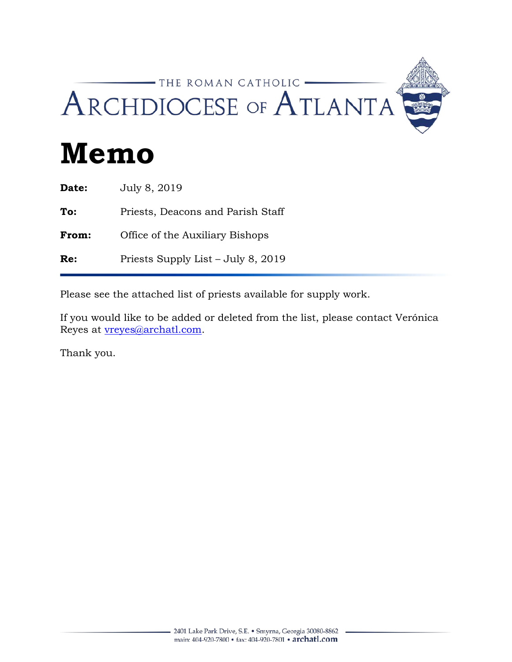## -THE ROMAN CATHOLIC -ARCHDIOCESE OF ATLANTA

# **Memo**

| July 8, 2019                       |
|------------------------------------|
| Priests, Deacons and Parish Staff  |
| Office of the Auxiliary Bishops    |
| Priests Supply List – July 8, 2019 |
|                                    |

Please see the attached list of priests available for supply work.

If you would like to be added or deleted from the list, please contact Verónica Reyes at **vreyes**@archatl.com.

Thank you.